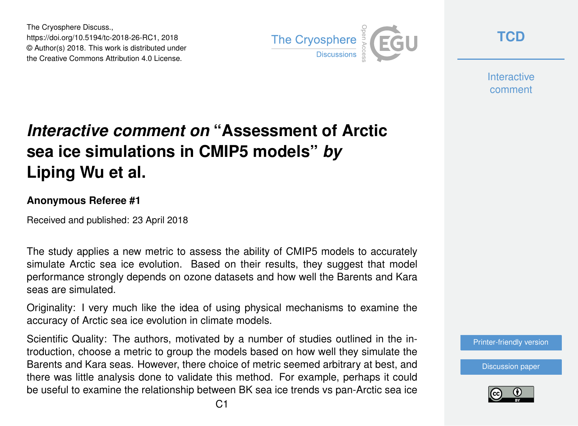The Cryosphere Discuss., https://doi.org/10.5194/tc-2018-26-RC1, 2018 © Author(s) 2018. This work is distributed under the Creative Commons Attribution 4.0 License.



**[TCD](https://www.the-cryosphere-discuss.net/)**

**Interactive** comment

## *Interactive comment on* **"Assessment of Arctic sea ice simulations in CMIP5 models"** *by* **Liping Wu et al.**

## **Anonymous Referee #1**

Received and published: 23 April 2018

The study applies a new metric to assess the ability of CMIP5 models to accurately simulate Arctic sea ice evolution. Based on their results, they suggest that model performance strongly depends on ozone datasets and how well the Barents and Kara seas are simulated.

Originality: I very much like the idea of using physical mechanisms to examine the accuracy of Arctic sea ice evolution in climate models.

Scientific Quality: The authors, motivated by a number of studies outlined in the introduction, choose a metric to group the models based on how well they simulate the Barents and Kara seas. However, there choice of metric seemed arbitrary at best, and there was little analysis done to validate this method. For example, perhaps it could be useful to examine the relationship between BK sea ice trends vs pan-Arctic sea ice

[Printer-friendly version](https://www.the-cryosphere-discuss.net/tc-2018-26/tc-2018-26-RC1-print.pdf)

[Discussion paper](https://www.the-cryosphere-discuss.net/tc-2018-26)